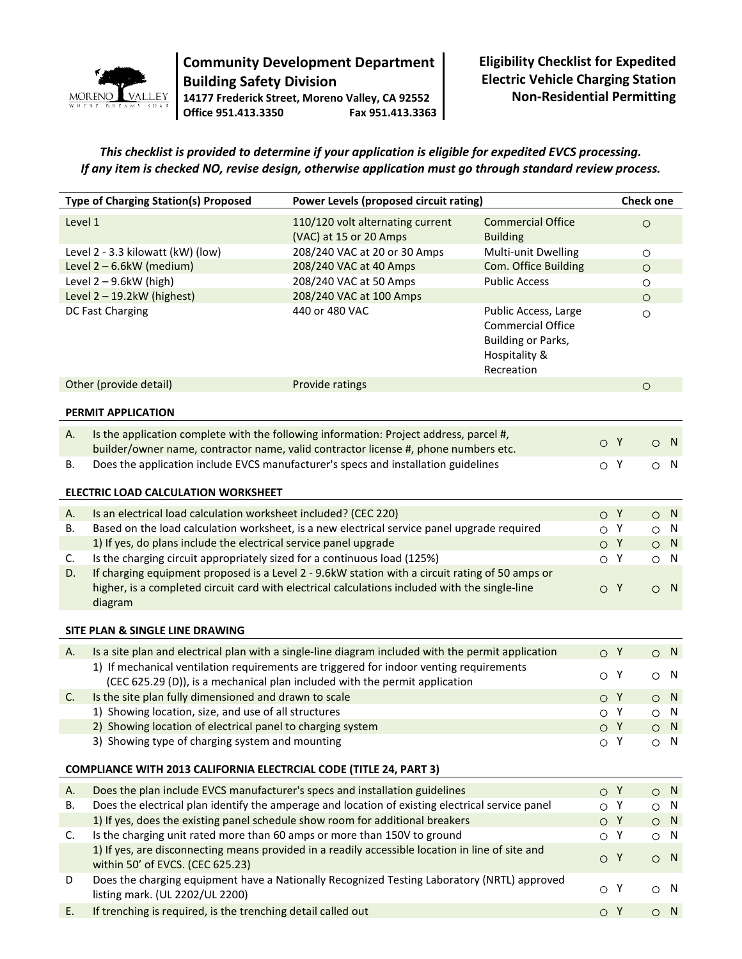

## **Community Development Department Building Safety Division 14177 Frederick Street, Moreno Valley, CA 92552 Office 951.413.3350 Fax 951.413.3363**

**Eligibility Checklist for Expedited Electric Vehicle Charging Station Non-Residential Permitting**

*This checklist is provided to determine if your application is eligible for expedited EVCS processing. If any item is checked NO, revise design, otherwise application must go through standard review process.*

| <b>Type of Charging Station(s) Proposed</b> |                                                                                                                                                                                                              | Power Levels (proposed circuit rating)                                      |                                                                                                       | <b>Check one</b> |     |            |                |  |  |
|---------------------------------------------|--------------------------------------------------------------------------------------------------------------------------------------------------------------------------------------------------------------|-----------------------------------------------------------------------------|-------------------------------------------------------------------------------------------------------|------------------|-----|------------|----------------|--|--|
| Level 1                                     |                                                                                                                                                                                                              | 110/120 volt alternating current                                            | <b>Commercial Office</b>                                                                              |                  |     | $\bigcirc$ |                |  |  |
|                                             |                                                                                                                                                                                                              | (VAC) at 15 or 20 Amps                                                      | <b>Building</b>                                                                                       |                  |     |            |                |  |  |
| Level 2 - 3.3 kilowatt (kW) (low)           |                                                                                                                                                                                                              | 208/240 VAC at 20 or 30 Amps                                                | Multi-unit Dwelling                                                                                   |                  |     | $\circ$    |                |  |  |
| Level 2 - 6.6kW (medium)                    |                                                                                                                                                                                                              | 208/240 VAC at 40 Amps                                                      | Com. Office Building                                                                                  |                  |     | $\bigcirc$ |                |  |  |
|                                             | Level $2 - 9.6$ kW (high)                                                                                                                                                                                    | 208/240 VAC at 50 Amps                                                      | <b>Public Access</b>                                                                                  |                  |     | $\circ$    |                |  |  |
| Level $2 - 19.2$ kW (highest)               |                                                                                                                                                                                                              | 208/240 VAC at 100 Amps                                                     |                                                                                                       |                  |     | $\circ$    |                |  |  |
|                                             | DC Fast Charging                                                                                                                                                                                             | 440 or 480 VAC                                                              | Public Access, Large<br><b>Commercial Office</b><br>Building or Parks,<br>Hospitality &<br>Recreation |                  |     | $\circ$    |                |  |  |
|                                             | Other (provide detail)                                                                                                                                                                                       | Provide ratings                                                             |                                                                                                       |                  |     | $\circ$    |                |  |  |
| PERMIT APPLICATION                          |                                                                                                                                                                                                              |                                                                             |                                                                                                       |                  |     |            |                |  |  |
| Α.                                          | Is the application complete with the following information: Project address, parcel #,                                                                                                                       |                                                                             |                                                                                                       |                  |     |            |                |  |  |
|                                             | builder/owner name, contractor name, valid contractor license #, phone numbers etc.                                                                                                                          |                                                                             |                                                                                                       | O Y              |     | $\circ$    | N              |  |  |
| В.                                          | Does the application include EVCS manufacturer's specs and installation guidelines                                                                                                                           |                                                                             |                                                                                                       | $\circ$ Y        |     |            | $\circ$ N      |  |  |
|                                             |                                                                                                                                                                                                              |                                                                             |                                                                                                       |                  |     |            |                |  |  |
|                                             | ELECTRIC LOAD CALCULATION WORKSHEET                                                                                                                                                                          |                                                                             |                                                                                                       |                  |     |            |                |  |  |
| Α.                                          | Is an electrical load calculation worksheet included? (CEC 220)                                                                                                                                              |                                                                             |                                                                                                       |                  | O Y |            | $O$ N          |  |  |
| В.                                          | Based on the load calculation worksheet, is a new electrical service panel upgrade required                                                                                                                  |                                                                             |                                                                                                       | $\circ$          | Y   | $\circ$    | N,             |  |  |
|                                             | 1) If yes, do plans include the electrical service panel upgrade                                                                                                                                             |                                                                             |                                                                                                       | O Y              |     | $\circ$    | N              |  |  |
| C.                                          | Is the charging circuit appropriately sized for a continuous load (125%)                                                                                                                                     |                                                                             |                                                                                                       | $\circ$ Y        |     | $\circ$    | N              |  |  |
| D.                                          | If charging equipment proposed is a Level 2 - 9.6kW station with a circuit rating of 50 amps or<br>higher, is a completed circuit card with electrical calculations included with the single-line<br>diagram |                                                                             |                                                                                                       | O Y              |     | $\circ$    | $\blacksquare$ |  |  |
|                                             | SITE PLAN & SINGLE LINE DRAWING                                                                                                                                                                              |                                                                             |                                                                                                       |                  |     |            |                |  |  |
| Α.                                          | Is a site plan and electrical plan with a single-line diagram included with the permit application                                                                                                           |                                                                             |                                                                                                       | $\circ$ Y        |     |            | $\circ$ N      |  |  |
|                                             | 1) If mechanical ventilation requirements are triggered for indoor venting requirements                                                                                                                      |                                                                             |                                                                                                       |                  |     |            |                |  |  |
|                                             |                                                                                                                                                                                                              | (CEC 625.29 (D)), is a mechanical plan included with the permit application |                                                                                                       | $\circ$ Y        |     | $\circ$    | - N            |  |  |
| C.                                          | Is the site plan fully dimensioned and drawn to scale                                                                                                                                                        |                                                                             |                                                                                                       | O Y              |     | $\bigcirc$ | N              |  |  |
|                                             | 1) Showing location, size, and use of all structures                                                                                                                                                         |                                                                             |                                                                                                       | $\bigcirc$       | Y   | $\bigcirc$ | N,             |  |  |
|                                             | 2) Showing location of electrical panel to charging system                                                                                                                                                   |                                                                             |                                                                                                       | O Y              |     |            | $O$ N          |  |  |
|                                             | 3) Showing type of charging system and mounting                                                                                                                                                              |                                                                             |                                                                                                       | O Y              |     |            | $\circ$ N      |  |  |
|                                             |                                                                                                                                                                                                              |                                                                             |                                                                                                       |                  |     |            |                |  |  |
|                                             | COMPLIANCE WITH 2013 CALIFORNIA ELECTRCIAL CODE (TITLE 24, PART 3)                                                                                                                                           |                                                                             |                                                                                                       |                  |     |            |                |  |  |
| Α.                                          | Does the plan include EVCS manufacturer's specs and installation guidelines                                                                                                                                  |                                                                             |                                                                                                       | O Y              |     |            | $\circ$ N      |  |  |
| В.                                          | Does the electrical plan identify the amperage and location of existing electrical service panel                                                                                                             |                                                                             |                                                                                                       | $\circ$ Y        |     | $\circ$    | N              |  |  |
|                                             | 1) If yes, does the existing panel schedule show room for additional breakers                                                                                                                                |                                                                             |                                                                                                       | O Y              |     |            | $O$ N          |  |  |
| C.                                          | Is the charging unit rated more than 60 amps or more than 150V to ground                                                                                                                                     |                                                                             |                                                                                                       | $\circ$ Y        |     |            | $\circ$ N      |  |  |
|                                             | 1) If yes, are disconnecting means provided in a readily accessible location in line of site and<br>within 50' of EVCS. (CEC 625.23)                                                                         |                                                                             |                                                                                                       | O <sub>Y</sub>   |     |            | $O$ N          |  |  |
| D                                           | Does the charging equipment have a Nationally Recognized Testing Laboratory (NRTL) approved                                                                                                                  |                                                                             |                                                                                                       |                  |     |            |                |  |  |
|                                             | listing mark. (UL 2202/UL 2200)                                                                                                                                                                              |                                                                             |                                                                                                       | $\circ$ Y        |     |            | $\circ$ N      |  |  |
| Ε.                                          | If trenching is required, is the trenching detail called out                                                                                                                                                 |                                                                             |                                                                                                       | O Y              |     |            | $\circ$ N      |  |  |